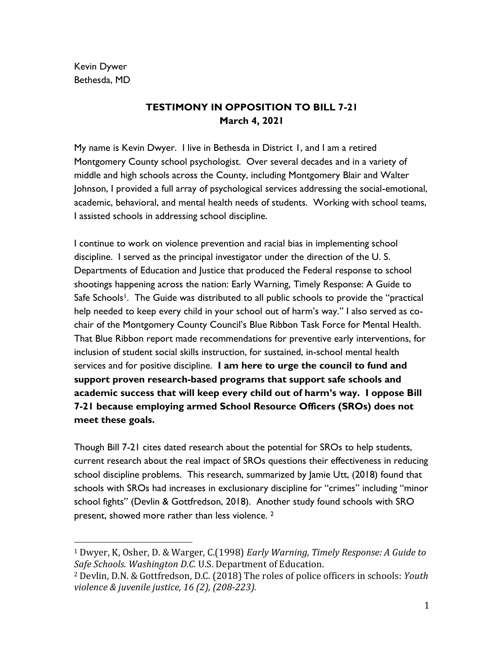Kevin Dywer Bethesda, MD

## **TESTIMONY IN OPPOSITION TO BILL 7-21 March 4, 2021**

My name is Kevin Dwyer. I live in Bethesda in District 1, and I am a retired Montgomery County school psychologist. Over several decades and in a variety of middle and high schools across the County, including Montgomery Blair and Walter Johnson, I provided a full array of psychological services addressing the social-emotional, academic, behavioral, and mental health needs of students. Working with school teams, I assisted schools in addressing school discipline.

I continue to work on violence prevention and racial bias in implementing school discipline. I served as the principal investigator under the direction of the U. S. Departments of Education and Justice that produced the Federal response to school shootings happening across the nation: Early Warning, Timely Response: A Guide to Safe Schools<sup>1</sup>. The Guide was distributed to all public schools to provide the "practical help needed to keep every child in your school out of harm's way." I also served as cochair of the Montgomery County Council's Blue Ribbon Task Force for Mental Health. That Blue Ribbon report made recommendations for preventive early interventions, for inclusion of student social skills instruction, for sustained, in-school mental health services and for positive discipline. **I am here to urge the council to fund and support proven research-based programs that support safe schools and academic success that will keep every child out of harm's way. I oppose Bill 7-21 because employing armed School Resource Officers (SROs) does not meet these goals.**

Though Bill 7-21 cites dated research about the potential for SROs to help students, current research about the real impact of SROs questions their effectiveness in reducing school discipline problems. This research, summarized by Jamie Utt, (2018) found that schools with SROs had increases in exclusionary discipline for "crimes" including "minor school fights" (Devlin & Gottfredson, 2018). Another study found schools with SRO present, showed more rather than less violence. <sup>2</sup>

<sup>1</sup> Dwyer, K, Osher, D. & Warger, C.(1998) *Early Warning, Timely Response: A Guide to Safe Schools. Washington D.C.* U.S. Department of Education.

<sup>2</sup> Devlin, D.N. & Gottfredson, D.C. (2018) The roles of police officers in schools: *Youth violence & juvenile justice, 16 (2), (208-223).*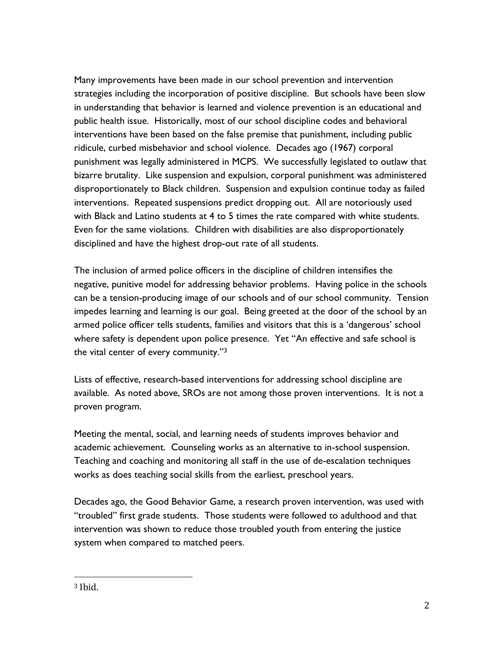Many improvements have been made in our school prevention and intervention strategies including the incorporation of positive discipline. But schools have been slow in understanding that behavior is learned and violence prevention is an educational and public health issue. Historically, most of our school discipline codes and behavioral interventions have been based on the false premise that punishment, including public ridicule, curbed misbehavior and school violence. Decades ago (1967) corporal punishment was legally administered in MCPS. We successfully legislated to outlaw that bizarre brutality. Like suspension and expulsion, corporal punishment was administered disproportionately to Black children. Suspension and expulsion continue today as failed interventions. Repeated suspensions predict dropping out. All are notoriously used with Black and Latino students at 4 to 5 times the rate compared with white students. Even for the same violations. Children with disabilities are also disproportionately disciplined and have the highest drop-out rate of all students.

The inclusion of armed police officers in the discipline of children intensifies the negative, punitive model for addressing behavior problems. Having police in the schools can be a tension-producing image of our schools and of our school community. Tension impedes learning and learning is our goal. Being greeted at the door of the school by an armed police officer tells students, families and visitors that this is a 'dangerous' school where safety is dependent upon police presence. Yet "An effective and safe school is the vital center of every community."<sup>3</sup>

Lists of effective, research-based interventions for addressing school discipline are available. As noted above, SROs are not among those proven interventions. It is not a proven program.

Meeting the mental, social, and learning needs of students improves behavior and academic achievement. Counseling works as an alternative to in-school suspension. Teaching and coaching and monitoring all staff in the use of de-escalation techniques works as does teaching social skills from the earliest, preschool years.

Decades ago, the Good Behavior Game, a research proven intervention, was used with "troubled" first grade students. Those students were followed to adulthood and that intervention was shown to reduce those troubled youth from entering the justice system when compared to matched peers.